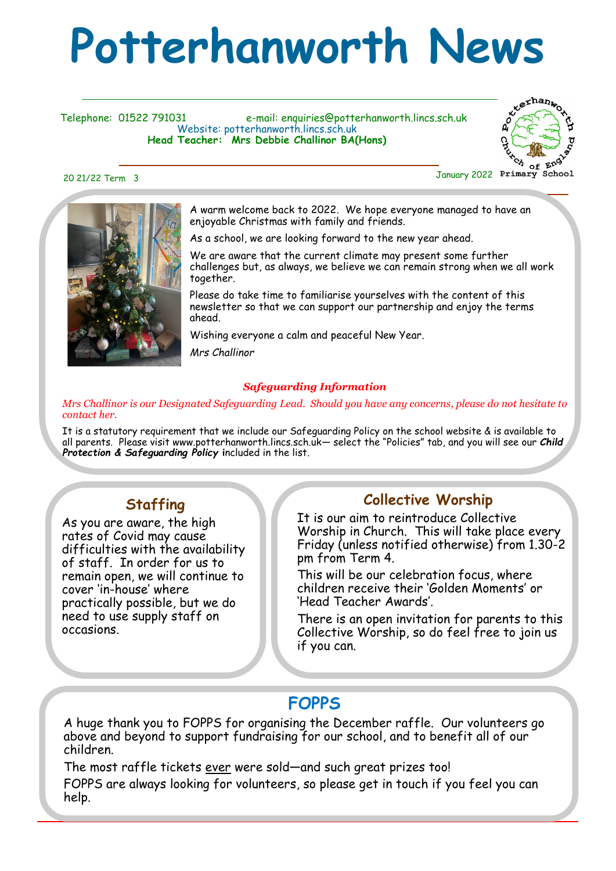# **Potterhanworth News**

Telephone: 01522 791031 e-mail: enquiries@potterhanworth.lincs.sch.uk Website: potterhanworth.lincs.sch.uk **Head Teacher: Mrs Debbie Challinor BA(Hons)**



A warm welcome back to 2022. We hope everyone managed to have an enjoyable Christmas with family and friends.

As a school, we are looking forward to the new year ahead.

We are aware that the current climate may present some further challenges but, as always, we believe we can remain strong when we all work together.

Please do take time to familiarise yourselves with the content of this newsletter so that we can support our partnership and enjoy the terms ahead.

Wishing everyone a calm and peaceful New Year.

*Mrs Challinor*

#### *Safeguarding Information*

*Mrs Challinor is our Designated Safeguarding Lead. Should you have any concerns, please do not hesitate to contact her.*

It is a statutory requirement that we include our Safeguarding Policy on the school website & is available to all parents. Please visit www.potterhanworth.lincs.sch.uk— select the "Policies" tab, and you will see our *Child Protection & Safeguarding Policy* **i**ncluded in the list*.*

#### **Staffing**

As you are aware, the high rates of Covid may cause difficulties with the availability of staff. In order for us to remain open, we will continue to cover 'in-house' where practically possible, but we do need to use supply staff on occasions.

#### **Collective Worship**

It is our aim to reintroduce Collective Worship in Church. This will take place every Friday (unless notified otherwise) from 1.30-2 pm from Term 4.

This will be our celebration focus, where children receive their 'Golden Moments' or 'Head Teacher Awards'.

There is an open invitation for parents to this Collective Worship, so do feel free to join us if you can.

### **FOPPS**

A huge thank you to FOPPS for organising the December raffle. Our volunteers go above and beyond to support fundraising for our school, and to benefit all of our children.

The most raffle tickets ever were sold—and such great prizes too! FOPPS are always looking for volunteers, so please get in touch if you feel you can help.

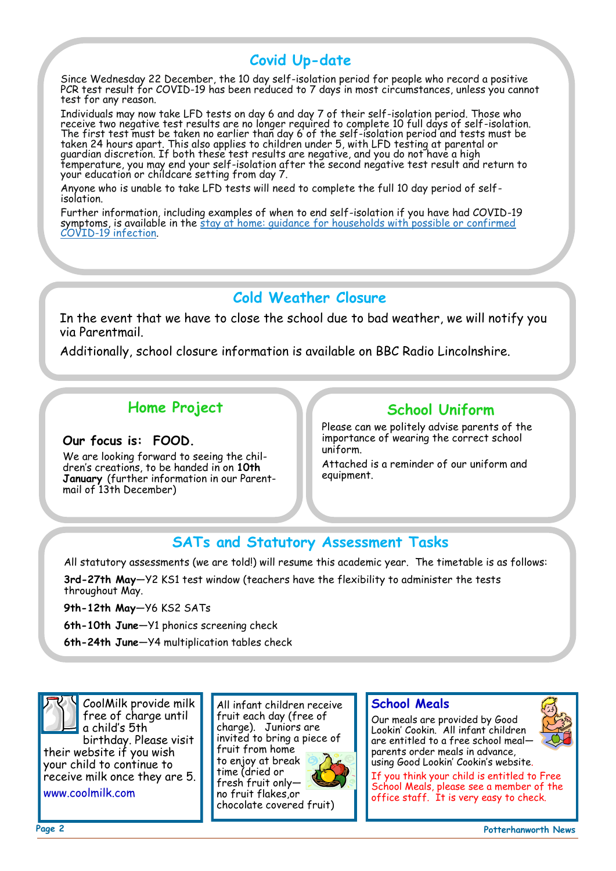#### **Covid Up-date**

Since Wednesday 22 December, the 10 day self-isolation period for people who record a positive PCR test result for COVID-19 has been reduced to 7 days in most circumstances, unless you cannot test for any reason.

Individuals may now take LFD tests on day 6 and day 7 of their self-isolation period. Those who receive two negative test results are no longer required to complete 10 full days of self-isolation. The first test must be taken no earlier than day 6 of the self-isolation period and tests must be taken 24 hours apart. This also applies to children under 5, with LFD testing at parental or guardian discretion. If both these test results are negative, and you do not have a high temperature, you may end your self-isolation after the second negative test result and return to your education or childcare setting from day 7.

Anyone who is unable to take LFD tests will need to complete the full 10 day period of selfisolation.

Further information, including examples of when to end self-isolation if you have had COVID-19 symptoms, is available in the [stay at home: guidance for households with possible or confirmed](https://www.gov.uk/government/publications/covid-19-stay-at-home-guidance/stay-at-home-guidance-for-households-with-possible-coronavirus-covid-19-infection?utm_source=4%20January%202022%20C19&utm_medium=Daily%20Email%20C19&utm_campaign=DfE%20C19#SymptomsPosit)  COVID-[19 infection.](https://www.gov.uk/government/publications/covid-19-stay-at-home-guidance/stay-at-home-guidance-for-households-with-possible-coronavirus-covid-19-infection?utm_source=4%20January%202022%20C19&utm_medium=Daily%20Email%20C19&utm_campaign=DfE%20C19#SymptomsPosit) 

#### **Cold Weather Closure**

In the event that we have to close the school due to bad weather, we will notify you via Parentmail.

Additionally, school closure information is available on BBC Radio Lincolnshire.

#### **Home Project**

#### **Our focus is: FOOD.**

We are looking forward to seeing the children's creations, to be handed in on **10th January** (further information in our Parentmail of 13th December)

#### **School Uniform**

Please can we politely advise parents of the importance of wearing the correct school uniform.

Attached is a reminder of our uniform and equipment.

#### **SATs and Statutory Assessment Tasks**

All statutory assessments (we are told!) will resume this academic year. The timetable is as follows:

**3rd-27th May**—Y2 KS1 test window (teachers have the flexibility to administer the tests throughout May.

**9th-12th May**—Y6 KS2 SATs

**6th-10th June**—Y1 phonics screening check

**6th-24th June**—Y4 multiplication tables check



CoolMilk provide milk free of charge until a child's 5th birthday. Please visit

their website if you wish your child to continue to receive milk once they are 5. www.coolmilk.com

All infant children receive fruit each day (free of charge). Juniors are invited to bring a piece of fruit from home to enjoy at break time (dried or fresh fruit only no fruit flakes,or chocolate covered fruit)



#### **School Meals**

Our meals are provided by Good Lookin' Cookin. All infant children are entitled to a free school meal parents order meals in advance, using Good Lookin' Cookin's website.



If you think your child is entitled to Free School Meals, please see a member of the office staff. It is very easy to check.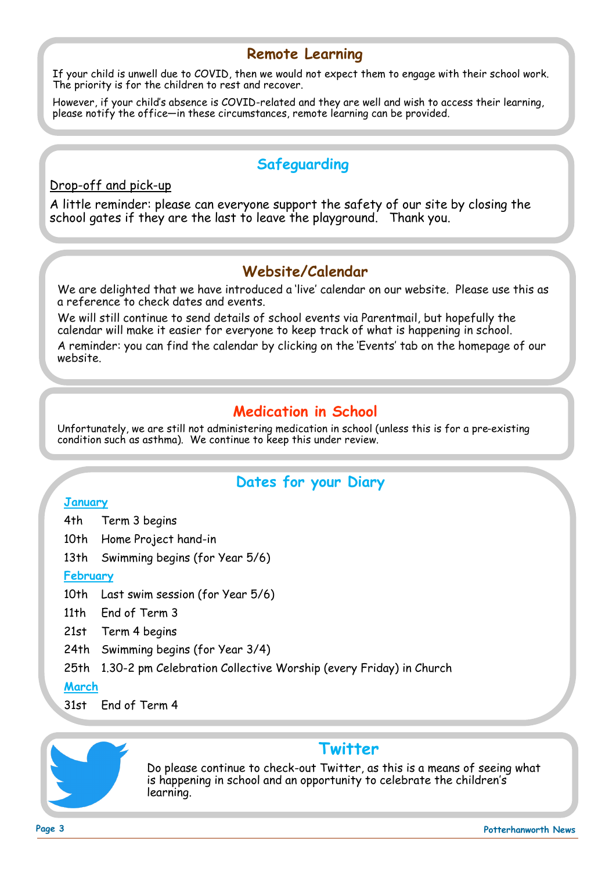#### **Remote Learning**

If your child is unwell due to COVID, then we would not expect them to engage with their school work. The priority is for the children to rest and recover.

However, if your child's absence is COVID-related and they are well and wish to access their learning, please notify the office—in these circumstances, remote learning can be provided.

#### **Safeguarding**

#### Drop-off and pick-up

A little reminder: please can everyone support the safety of our site by closing the school gates if they are the last to leave the playground. Thank you.

#### **Website/Calendar**

We are delighted that we have introduced a 'live' calendar on our website. Please use this as a reference to check dates and events.

We will still continue to send details of school events via Parentmail, but hopefully the calendar will make it easier for everyone to keep track of what is happening in school. A reminder: you can find the calendar by clicking on the 'Events' tab on the homepage of our website.

#### **Medication in School**

Unfortunately, we are still not administering medication in school (unless this is for a pre-existing condition such as asthma). We continue to keep this under review.

#### **Dates for your Diary**

#### **January**

- 4th Term 3 begins
- 10th Home Project hand-in
- 13th Swimming begins (for Year 5/6)

#### **February**

10th Last swim session (for Year 5/6)

- 11th End of Term 3
- 21st Term 4 begins
- 24th Swimming begins (for Year 3/4)

25th 1.30-2 pm Celebration Collective Worship (every Friday) in Church

**March**

31st End of Term 4



#### **Twitter**

Do please continue to check-out Twitter, as this is a means of seeing what is happening in school and an opportunity to celebrate the children's learning.